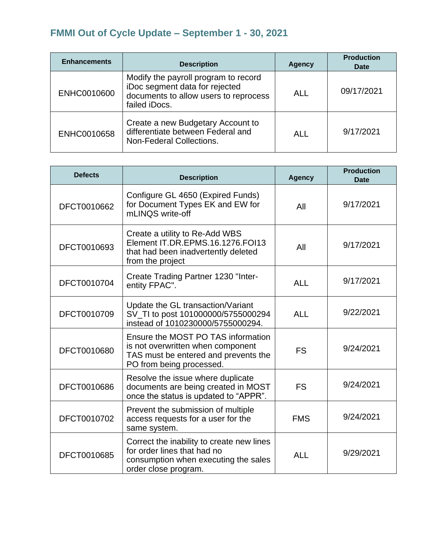## **FMMI Out of Cycle Update – September 1 - 30, 2021**

| <b>Enhancements</b> | <b>Description</b>                                                                                                               | <b>Agency</b> | <b>Production</b><br><b>Date</b> |
|---------------------|----------------------------------------------------------------------------------------------------------------------------------|---------------|----------------------------------|
| ENHC0010600         | Modify the payroll program to record<br>iDoc segment data for rejected<br>documents to allow users to reprocess<br>failed iDocs. | <b>ALL</b>    | 09/17/2021                       |
| ENHC0010658         | Create a new Budgetary Account to<br>differentiate between Federal and<br>Non-Federal Collections.                               | ALL           | 9/17/2021                        |

| <b>Defects</b> | <b>Description</b>                                                                                                                          | <b>Agency</b> | <b>Production</b><br><b>Date</b> |
|----------------|---------------------------------------------------------------------------------------------------------------------------------------------|---------------|----------------------------------|
| DFCT0010662    | Configure GL 4650 (Expired Funds)<br>for Document Types EK and EW for<br>mLINQS write-off                                                   | All           | 9/17/2021                        |
| DFCT0010693    | Create a utility to Re-Add WBS<br>Element IT.DR.EPMS.16.1276.FOI13<br>that had been inadvertently deleted<br>from the project               | All           | 9/17/2021                        |
| DFCT0010704    | Create Trading Partner 1230 "Inter-<br>entity FPAC".                                                                                        | <b>ALL</b>    | 9/17/2021                        |
| DFCT0010709    | Update the GL transaction/Variant<br>SV_TI to post 101000000/5755000294<br>instead of 1010230000/5755000294.                                | <b>ALL</b>    | 9/22/2021                        |
| DFCT0010680    | Ensure the MOST PO TAS information<br>is not overwritten when component<br>TAS must be entered and prevents the<br>PO from being processed. | <b>FS</b>     | 9/24/2021                        |
| DFCT0010686    | Resolve the issue where duplicate<br>documents are being created in MOST<br>once the status is updated to "APPR".                           | <b>FS</b>     | 9/24/2021                        |
| DFCT0010702    | Prevent the submission of multiple<br>access requests for a user for the<br>same system.                                                    | <b>FMS</b>    | 9/24/2021                        |
| DFCT0010685    | Correct the inability to create new lines<br>for order lines that had no<br>consumption when executing the sales<br>order close program.    | <b>ALL</b>    | 9/29/2021                        |